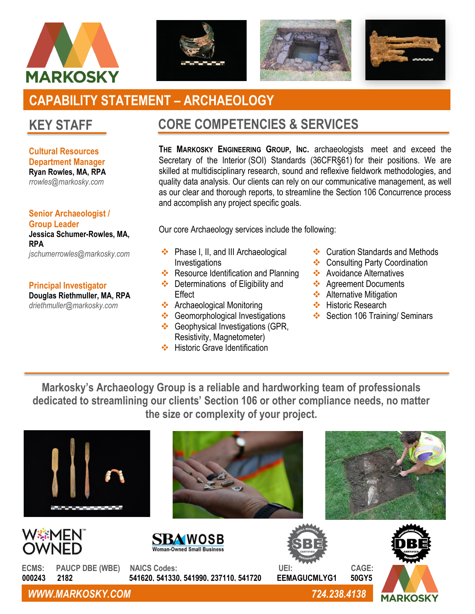







# **CAPABILITY STATEMENT – ARCHAEOLOGY**

## **KEY STAFF**

**Cultural Resources Department Manager Ryan Rowles, MA, RPA** *rrowles@markosky.com*

**Senior Archaeologist / Group Leader Jessica Schumer-Rowles, MA, RPA** *jschumerrowles@markosky.com*

#### **Principal Investigator**

**Douglas Riethmuller, MA, RPA** *driethmuller@markosky.com*

### **CORE COMPETENCIES & SERVICES**

**THE MARKOSKY ENGINEERING GROUP, INC.** archaeologists meet and exceed the Secretary of the Interior (SOI) Standards (36CFR§61) for their positions. We are skilled at multidisciplinary research, sound and reflexive fieldwork methodologies, and quality data analysis. Our clients can rely on our communicative management, as well as our clear and thorough reports, to streamline the Section 106 Concurrence process and accomplish any project specific goals.

Our core Archaeology services include the following:

- ❖ Phase I, II, and III Archaeological **Investigations**
- ❖ Resource Identification and Planning
- ❖ Determinations of Eligibility and **Effect**
- ❖ Archaeological Monitoring
- ❖ Geomorphological Investigations ❖ Geophysical Investigations (GPR,
- Resistivity, Magnetometer) ❖ Historic Grave Identification
- ❖ Curation Standards and Methods
- ❖ Consulting Party Coordination
- ❖ Avoidance Alternatives
- ❖ Agreement Documents
- **❖** Alternative Mitigation
- ❖ Historic Research
- ❖ Section 106 Training/ Seminars

**Markosky's Archaeology Group is a reliable and hardworking team of professionals dedicated to streamlining our clients' Section 106 or other compliance needs, no matter the size or complexity of your project.**